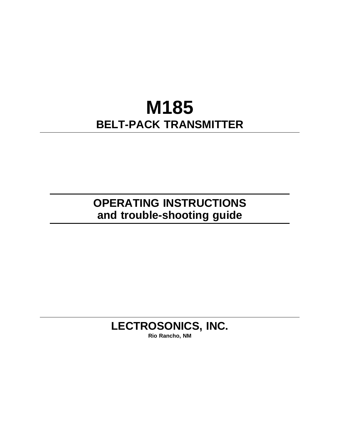# **M185 BELT-PACK TRANSMITTER**

**OPERATING INSTRUCTIONS and trouble-shooting guide** 

## **LECTROSONICS, INC.**

**Rio Rancho, NM**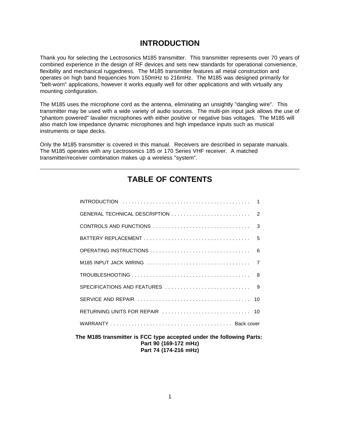### **INTRODUCTION**

Thank you for selecting the Lectrosonics M185 transmitter. This transmitter represents over 70 years of combined experience in the design of RF devices and sets new standards for operational convenience, flexibility and mechanical ruggedness. The M185 transmitter features all metal construction and operates on high band frequencies from 150mHz to 216mHz. The M185 was designed primarily for "belt-worn" applications, however it works equally well for other applications and with virtually any mounting configuration.

The M185 uses the microphone cord as the antenna, eliminating an unsightly "dangling wire". This transmitter may be used with a wide variety of audio sources. The multi-pin input jack allows the use of "phantom powered" lavalier microphones with either positive or negative bias voltages. The M185 will also match low impedance dynamic microphones and high impedance inputs such as musical instruments or tape decks.

Only the M185 transmitter is covered in this manual. Receivers are described in separate manuals. The M185 operates with any Lectrosonics 185 or 170 Series VHF receiver. A matched transmitter/receiver combination makes up a wireless "system".

### **TABLE OF CONTENTS**

**The M185 transmitter is FCC type accepted under the following Parts: Part 90 (169-172 mHz) Part 74 (174-216 mHz)**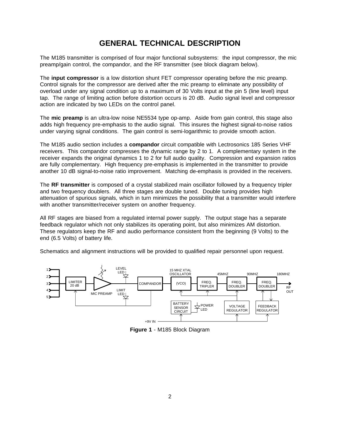### **GENERAL TECHNICAL DESCRIPTION**

The M185 transmitter is comprised of four major functional subsystems: the input compressor, the mic preamp/gain control, the compandor, and the RF transmitter (see block diagram below).

The **input compressor** is a low distortion shunt FET compressor operating before the mic preamp. Control signals for the compressor are derived after the mic preamp to eliminate any possibility of overload under any signal condition up to a maximum of 30 Volts input at the pin 5 (line level) input tap. The range of limiting action before distortion occurs is 20 dB. Audio signal level and compressor action are indicated by two LEDs on the control panel.

The **mic preamp** is an ultra-low noise NE5534 type op-amp. Aside from gain control, this stage also adds high frequency pre-emphasis to the audio signal. This insures the highest signal-to-noise ratios under varying signal conditions. The gain control is semi-logarithmic to provide smooth action.

The M185 audio section includes a **compandor** circuit compatible with Lectrosonics 185 Series VHF receivers. This compandor compresses the dynamic range by 2 to 1. A complementary system in the receiver expands the original dynamics 1 to 2 for full audio quality. Compression and expansion ratios are fully complementary. High frequency pre-emphasis is implemented in the transmitter to provide another 10 dB signal-to-noise ratio improvement. Matching de-emphasis is provided in the receivers.

The **RF transmitter** is composed of a crystal stabilized main oscillator followed by a frequency tripler and two frequency doublers. All three stages are double tuned. Double tuning provides high attenuation of spurious signals, which in turn minimizes the possibility that a transmitter would interfere with another transmitter/receiver system on another frequency.

All RF stages are biased from a regulated internal power supply. The output stage has a separate feedback regulator which not only stabilizes its operating point, but also minimizes AM distortion. These regulators keep the RF and audio performance consistent from the beginning (9 Volts) to the end (6.5 Volts) of battery life.

Schematics and alignment instructions will be provided to qualified repair personnel upon request.



**Figure 1** - M185 Block Diagram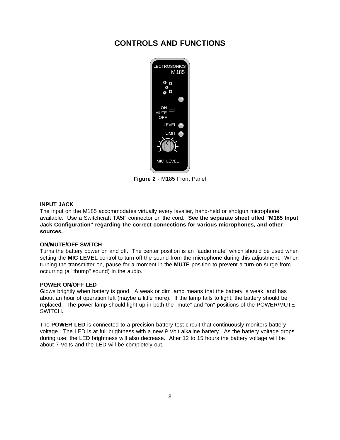### **CONTROLS AND FUNCTIONS**



**Figure 2** - M185 Front Panel

#### **INPUT JACK**

The input on the M185 accommodates virtually every lavalier, hand-held or shotgun microphone available. Use a Switchcraft TA5F connector on the cord. **See the separate sheet titled "M185 Input Jack Configuration" regarding the correct connections for various microphones, and other sources.** 

#### **ON/MUTE/OFF SWITCH**

Turns the battery power on and off. The center position is an "audio mute" which should be used when setting the **MIC LEVEL** control to turn off the sound from the microphone during this adjustment. When turning the transmitter on, pause for a moment in the **MUTE** position to prevent a turn-on surge from occurring (a "thump" sound) in the audio.

#### **POWER ON/OFF LED**

Glows brightly when battery is good. A weak or dim lamp means that the battery is weak, and has about an hour of operation left (maybe a little more). If the lamp fails to light, the battery should be replaced. The power lamp should light up in both the "mute" and "on" positions of the POWER/MUTE SWITCH.

The **POWER LED** is connected to a precision battery test circuit that continuously monitors battery voltage. The LED is at full brightness with a new 9 Volt alkaline battery. As the battery voltage drops during use, the LED brightness will also decrease. After 12 to 15 hours the battery voltage will be about 7 Volts and the LED will be completely out.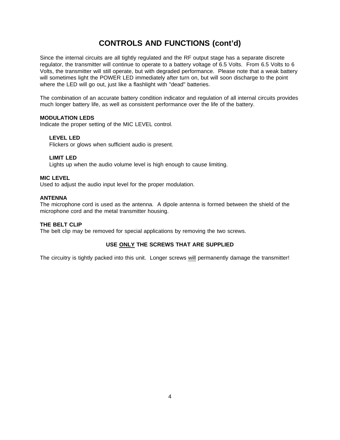### **CONTROLS AND FUNCTIONS (cont'd)**

Since the internal circuits are all tightly regulated and the RF output stage has a separate discrete regulator, the transmitter will continue to operate to a battery voltage of 6.5 Volts. From 6.5 Volts to 6 Volts, the transmitter will still operate, but with degraded performance. Please note that a weak battery will sometimes light the POWER LED immediately after turn on, but will soon discharge to the point where the LED will go out, just like a flashlight with "dead" batteries.

The combination of an accurate battery condition indicator and regulation of all internal circuits provides much longer battery life, as well as consistent performance over the life of the battery.

#### **MODULATION LEDS**

Indicate the proper setting of the MIC LEVEL control.

#### **LEVEL LED**

Flickers or glows when sufficient audio is present.

#### **LIMIT LED**

Lights up when the audio volume level is high enough to cause limiting.

#### **MIC LEVEL**

Used to adjust the audio input level for the proper modulation.

#### **ANTENNA**

The microphone cord is used as the antenna. A dipole antenna is formed between the shield of the microphone cord and the metal transmitter housing.

#### **THE BELT CLIP**

The belt clip may be removed for special applications by removing the two screws.

#### **USE ONLY THE SCREWS THAT ARE SUPPLIED**

The circuitry is tightly packed into this unit. Longer screws will permanently damage the transmitter!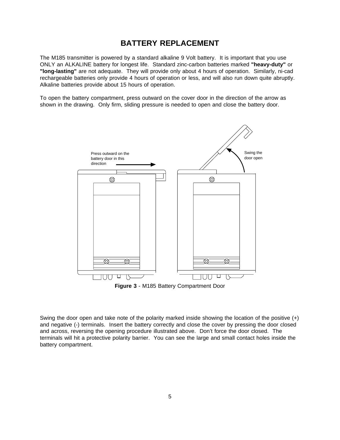### **BATTERY REPLACEMENT**

The M185 transmitter is powered by a standard alkaline 9 Volt battery. It is important that you use ONLY an ALKALINE battery for longest life. Standard zinc-carbon batteries marked **"heavy-duty"** or **"long-lasting"** are not adequate. They will provide only about 4 hours of operation. Similarly, ni-cad rechargeable batteries only provide 4 hours of operation or less, and will also run down quite abruptly. Alkaline batteries provide about 15 hours of operation.

To open the battery compartment, press outward on the cover door in the direction of the arrow as shown in the drawing. Only firm, sliding pressure is needed to open and close the battery door.



**Figure 3** - M185 Battery Compartment Door

Swing the door open and take note of the polarity marked inside showing the location of the positive (+) and negative (-) terminals. Insert the battery correctly and close the cover by pressing the door closed and across, reversing the opening procedure illustrated above. Don't force the door closed. The terminals will hit a protective polarity barrier. You can see the large and small contact holes inside the battery compartment.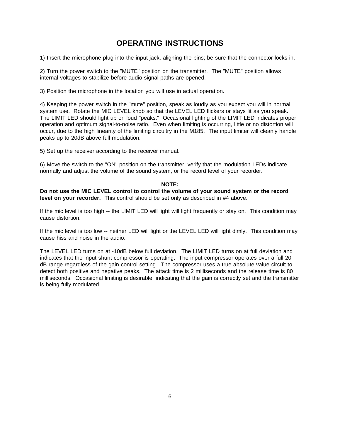### **OPERATING INSTRUCTIONS**

1) Insert the microphone plug into the input jack, aligning the pins; be sure that the connector locks in.

2) Turn the power switch to the "MUTE" position on the transmitter. The "MUTE" position allows internal voltages to stabilize before audio signal paths are opened.

3) Position the microphone in the location you will use in actual operation.

4) Keeping the power switch in the "mute" position, speak as loudly as you expect you will in normal system use. Rotate the MIC LEVEL knob so that the LEVEL LED flickers or stays lit as you speak. The LIMIT LED should light up on loud "peaks." Occasional lighting of the LIMIT LED indicates proper operation and optimum signal-to-noise ratio. Even when limiting is occurring, little or no distortion will occur, due to the high linearity of the limiting circuitry in the M185. The input limiter will cleanly handle peaks up to 20dB above full modulation.

5) Set up the receiver according to the receiver manual.

6) Move the switch to the "ON" position on the transmitter, verify that the modulation LEDs indicate normally and adjust the volume of the sound system, or the record level of your recorder.

#### **NOTE:**

**Do not use the MIC LEVEL control to control the volume of your sound system or the record level on your recorder.** This control should be set only as described in #4 above.

If the mic level is too high -- the LIMIT LED will light will light frequently or stay on. This condition may cause distortion.

If the mic level is too low -- neither LED will light or the LEVEL LED will light dimly. This condition may cause hiss and noise in the audio.

The LEVEL LED turns on at -10dB below full deviation. The LIMIT LED turns on at full deviation and indicates that the input shunt compressor is operating. The input compressor operates over a full 20 dB range regardless of the gain control setting. The compressor uses a true absolute value circuit to detect both positive and negative peaks. The attack time is 2 milliseconds and the release time is 80 milliseconds. Occasional limiting is desirable, indicating that the gain is correctly set and the transmitter is being fully modulated.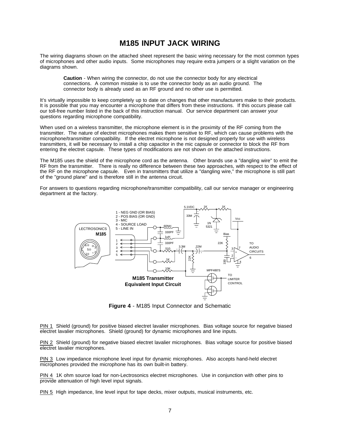### **M185 INPUT JACK WIRING**

The wiring diagrams shown on the attached sheet represent the basic wiring necessary for the most common types of microphones and other audio inputs. Some microphones may require extra jumpers or a slight variation on the diagrams shown.

**Caution** - When wiring the connector, do not use the connector body for any electrical connections. A common mistake is to use the connector body as an audio ground. The connector body is already used as an RF ground and no other use is permitted.

It's virtually impossible to keep completely up to date on changes that other manufacturers make to their products. It is possible that you may encounter a microphone that differs from these instructions. If this occurs please call our toll-free number listed in the back of this instruction manual. Our service department can answer your questions regarding microphone compatibility.

When used on a wireless transmitter, the microphone element is in the proximity of the RF coming from the transmitter. The nature of electret microphones makes them sensitive to RF, which can cause problems with the microphone/transmitter compatibility. If the electret microphone is not designed properly for use with wireless transmitters, it will be necessary to install a chip capacitor in the mic capsule or connector to block the RF from entering the electret capsule. These types of modifications are not shown on the attached instructions.

The M185 uses the shield of the microphone cord as the antenna. Other brands use a "dangling wire" to emit the RF from the transmitter. There is really no difference between these two approaches, with respect to the effect of the RF on the microphone capsule. Even in transmitters that utilize a "dangling wire," the microphone is still part of the "ground plane" and is therefore still in the antenna circuit.

For answers to questions regarding microphone/transmitter compatibility, call our service manager or engineering department at the factory.



**Figure 4** - M185 Input Connector and Schematic

PIN 1 Shield (ground) for positive biased electret lavalier microphones. Bias voltage source for negative biased electret lavalier microphones. Shield (ground) for dynamic microphones and line inputs.

PIN 2 Shield (ground) for negative biased electret lavalier microphones. Bias voltage source for positive biased electret lavalier microphones.

PIN 3 Low impedance microphone level input for dynamic microphones. Also accepts hand-held electret microphones provided the microphone has its own built-in battery.

PIN 4 1K ohm source load for non-Lectrosonics electret microphones. Use in conjunction with other pins to provide attenuation of high level input signals.

PIN 5 High impedance, line level input for tape decks, mixer outputs, musical instruments, etc.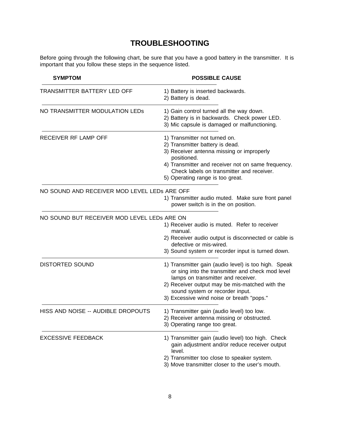### **TROUBLESHOOTING**

Before going through the following chart, be sure that you have a good battery in the transmitter. It is important that you follow these steps in the sequence listed.

| <b>SYMPTOM</b>                               | <b>POSSIBLE CAUSE</b>                                                                                                                                                                                                                                                            |
|----------------------------------------------|----------------------------------------------------------------------------------------------------------------------------------------------------------------------------------------------------------------------------------------------------------------------------------|
| TRANSMITTER BATTERY LED OFF                  | 1) Battery is inserted backwards.<br>2) Battery is dead.                                                                                                                                                                                                                         |
| NO TRANSMITTER MODULATION LEDS               | 1) Gain control turned all the way down.<br>2) Battery is in backwards. Check power LED.<br>3) Mic capsule is damaged or malfunctioning.                                                                                                                                         |
| RECEIVER RF LAMP OFF                         | 1) Transmitter not turned on.<br>2) Transmitter battery is dead.<br>3) Receiver antenna missing or improperly<br>positioned.<br>4) Transmitter and receiver not on same frequency.<br>Check labels on transmitter and receiver.<br>5) Operating range is too great.              |
| NO SOUND AND RECEIVER MOD LEVEL LEDS ARE OFF | 1) Transmitter audio muted. Make sure front panel<br>power switch is in the on position.                                                                                                                                                                                         |
| NO SOUND BUT RECEIVER MOD LEVEL LEDS ARE ON  | 1) Receiver audio is muted. Refer to receiver<br>manual.<br>2) Receiver audio output is disconnected or cable is<br>defective or mis-wired.<br>3) Sound system or recorder input is turned down.                                                                                 |
| <b>DISTORTED SOUND</b>                       | 1) Transmitter gain (audio level) is too high. Speak<br>or sing into the transmitter and check mod level<br>lamps on transmitter and receiver.<br>2) Receiver output may be mis-matched with the<br>sound system or recorder input.<br>3) Excessive wind noise or breath "pops." |
| HISS AND NOISE -- AUDIBLE DROPOUTS           | 1) Transmitter gain (audio level) too low.<br>2) Receiver antenna missing or obstructed.<br>3) Operating range too great.                                                                                                                                                        |
| <b>EXCESSIVE FEEDBACK</b>                    | 1) Transmitter gain (audio level) too high. Check<br>gain adjustment and/or reduce receiver output<br>level.<br>2) Transmitter too close to speaker system.<br>3) Move transmitter closer to the user's mouth.                                                                   |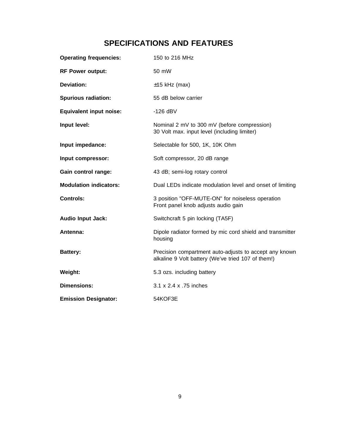### **SPECIFICATIONS AND FEATURES**

| <b>Operating frequencies:</b>  | 150 to 216 MHz                                                                                               |
|--------------------------------|--------------------------------------------------------------------------------------------------------------|
| <b>RF Power output:</b>        | 50 mW                                                                                                        |
| <b>Deviation:</b>              | $\pm$ 15 kHz (max)                                                                                           |
| <b>Spurious radiation:</b>     | 55 dB below carrier                                                                                          |
| <b>Equivalent input noise:</b> | $-126$ dBV                                                                                                   |
| Input level:                   | Nominal 2 mV to 300 mV (before compression)<br>30 Volt max. input level (including limiter)                  |
| Input impedance:               | Selectable for 500, 1K, 10K Ohm                                                                              |
| Input compressor:              | Soft compressor, 20 dB range                                                                                 |
| Gain control range:            | 43 dB; semi-log rotary control                                                                               |
| <b>Modulation indicators:</b>  | Dual LEDs indicate modulation level and onset of limiting                                                    |
| <b>Controls:</b>               | 3 position "OFF-MUTE-ON" for noiseless operation<br>Front panel knob adjusts audio gain                      |
| <b>Audio Input Jack:</b>       | Switchcraft 5 pin locking (TA5F)                                                                             |
| Antenna:                       | Dipole radiator formed by mic cord shield and transmitter<br>housing                                         |
| <b>Battery:</b>                | Precision compartment auto-adjusts to accept any known<br>alkaline 9 Volt battery (We've tried 107 of them!) |
| Weight:                        | 5.3 ozs. including battery                                                                                   |
| <b>Dimensions:</b>             | 3.1 x 2.4 x .75 inches                                                                                       |
| <b>Emission Designator:</b>    | 54KOF3E                                                                                                      |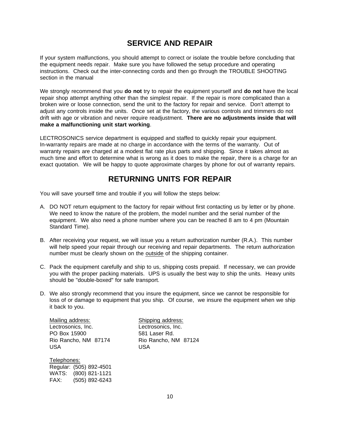### **SERVICE AND REPAIR**

If your system malfunctions, you should attempt to correct or isolate the trouble before concluding that the equipment needs repair. Make sure you have followed the setup procedure and operating instructions. Check out the inter-connecting cords and then go through the TROUBLE SHOOTING section in the manual

We strongly recommend that you **do not** try to repair the equipment yourself and **do not** have the local repair shop attempt anything other than the simplest repair. If the repair is more complicated than a broken wire or loose connection, send the unit to the factory for repair and service. Don't attempt to adjust any controls inside the units. Once set at the factory, the various controls and trimmers do not drift with age or vibration and never require readjustment. **There are no adjustments inside that will make a malfunctioning unit start working**.

LECTROSONICS service department is equipped and staffed to quickly repair your equipment. In-warranty repairs are made at no charge in accordance with the terms of the warranty. Out of warranty repairs are charged at a modest flat rate plus parts and shipping. Since it takes almost as much time and effort to determine what is wrong as it does to make the repair, there is a charge for an exact quotation. We will be happy to quote approximate charges by phone for out of warranty repairs.

### **RETURNING UNITS FOR REPAIR**

You will save yourself time and trouble if you will follow the steps below:

- A. DO NOT return equipment to the factory for repair without first contacting us by letter or by phone. We need to know the nature of the problem, the model number and the serial number of the equipment. We also need a phone number where you can be reached 8 am to 4 pm (Mountain Standard Time).
- B. After receiving your request, we will issue you a return authorization number (R.A.). This number will help speed your repair through our receiving and repair departments. The return authorization number must be clearly shown on the outside of the shipping container.
- C. Pack the equipment carefully and ship to us, shipping costs prepaid. If necessary, we can provide you with the proper packing materials. UPS is usually the best way to ship the units. Heavy units should be "double-boxed" for safe transport.
- D. We also strongly recommend that you insure the equipment, since we cannot be responsible for loss of or damage to equipment that you ship. Of course, we insure the equipment when we ship it back to you.

Mailing address: Shipping address: Lectrosonics, Inc. **Lectrosonics**, Inc. PO Box 15900 581 Laser Rd. Rio Rancho, NM 87174 Rio Rancho, NM 87124 USA USA

Telephones: Regular: (505) 892-4501 WATS: (800) 821-1121 FAX: (505) 892-6243